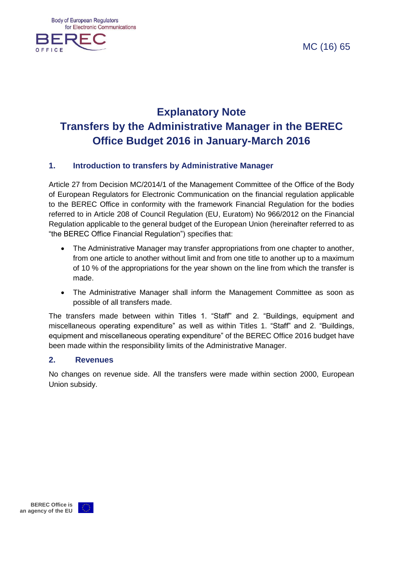**Body of European Regulators** for Electronic Communications



MC (16) 65

# **Explanatory Note Transfers by the Administrative Manager in the BEREC Office Budget 2016 in January-March 2016**

#### **1. Introduction to transfers by Administrative Manager**

Article 27 from Decision MC/2014/1 of the Management Committee of the Office of the Body of European Regulators for Electronic Communication on the financial regulation applicable to the BEREC Office in conformity with the framework Financial Regulation for the bodies referred to in Article 208 of Council Regulation (EU, Euratom) No 966/2012 on the Financial Regulation applicable to the general budget of the European Union (hereinafter referred to as "the BEREC Office Financial Regulation") specifies that:

- The Administrative Manager may transfer appropriations from one chapter to another, from one article to another without limit and from one title to another up to a maximum of 10 % of the appropriations for the year shown on the line from which the transfer is made.
- The Administrative Manager shall inform the Management Committee as soon as possible of all transfers made.

The transfers made between within Titles 1. "Staff" and 2. "Buildings, equipment and miscellaneous operating expenditure" as well as within Titles 1. "Staff" and 2. "Buildings, equipment and miscellaneous operating expenditure" of the BEREC Office 2016 budget have been made within the responsibility limits of the Administrative Manager.

#### **2. Revenues**

No changes on revenue side. All the transfers were made within section 2000, European Union subsidy.

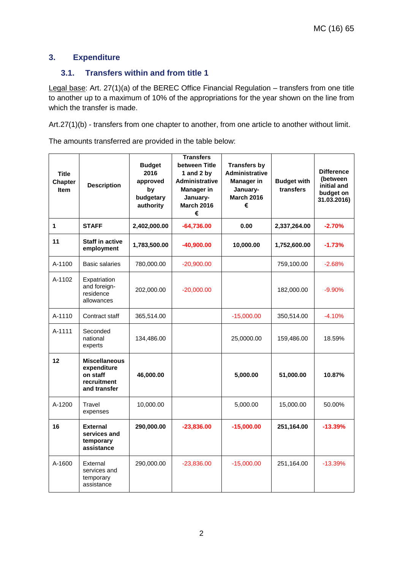#### **3. Expenditure**

#### **3.1. Transfers within and from title 1**

Legal base: Art. 27(1)(a) of the BEREC Office Financial Regulation – transfers from one title to another up to a maximum of 10% of the appropriations for the year shown on the line from which the transfer is made.

Art.27(1)(b) - transfers from one chapter to another, from one article to another without limit.

The amounts transferred are provided in the table below:

| <b>Title</b><br><b>Chapter</b><br><b>Item</b> | <b>Description</b>                                                             | <b>Budget</b><br>2016<br>approved<br>by<br>budgetary<br>authority | <b>Transfers</b><br>between Title<br>1 and 2 by<br><b>Administrative</b><br><b>Manager in</b><br>January-<br><b>March 2016</b><br>€ | <b>Transfers by</b><br><b>Administrative</b><br><b>Manager in</b><br>January-<br><b>March 2016</b><br>€ | <b>Budget with</b><br>transfers | <b>Difference</b><br>(between<br>initial and<br>budget on<br>31.03.2016) |
|-----------------------------------------------|--------------------------------------------------------------------------------|-------------------------------------------------------------------|-------------------------------------------------------------------------------------------------------------------------------------|---------------------------------------------------------------------------------------------------------|---------------------------------|--------------------------------------------------------------------------|
| 1                                             | <b>STAFF</b>                                                                   | 2,402,000.00                                                      | $-64,736.00$                                                                                                                        | 0.00                                                                                                    | 2,337,264.00                    | $-2.70%$                                                                 |
| 11                                            | <b>Staff in active</b><br>employment                                           | 1,783,500.00                                                      | $-40,900.00$                                                                                                                        | 10,000.00                                                                                               | 1,752,600.00                    | $-1.73%$                                                                 |
| A-1100                                        | <b>Basic salaries</b>                                                          | 780,000.00                                                        | $-20,900.00$                                                                                                                        |                                                                                                         | 759,100.00                      | $-2.68%$                                                                 |
| A-1102                                        | Expatriation<br>and foreign-<br>residence<br>allowances                        | 202,000.00                                                        | $-20,000.00$                                                                                                                        |                                                                                                         | 182,000.00                      | $-9.90%$                                                                 |
| A-1110                                        | Contract staff                                                                 | 365,514.00                                                        |                                                                                                                                     | $-15,000.00$                                                                                            | 350,514.00                      | $-4.10%$                                                                 |
| A-1111                                        | Seconded<br>national<br>experts                                                | 134,486.00                                                        |                                                                                                                                     | 25,0000.00                                                                                              | 159,486.00                      | 18.59%                                                                   |
| 12                                            | <b>Miscellaneous</b><br>expenditure<br>on staff<br>recruitment<br>and transfer | 46,000.00                                                         |                                                                                                                                     | 5,000.00                                                                                                | 51,000.00                       | 10.87%                                                                   |
| A-1200                                        | Travel<br>expenses                                                             | 10,000.00                                                         |                                                                                                                                     | 5,000.00                                                                                                | 15,000.00                       | 50.00%                                                                   |
| 16                                            | <b>External</b><br>services and<br>temporary<br>assistance                     | 290,000.00                                                        | $-23,836.00$                                                                                                                        | $-15,000.00$                                                                                            | 251,164.00                      | $-13.39%$                                                                |
| A-1600                                        | External<br>services and<br>temporary<br>assistance                            | 290,000.00                                                        | $-23,836.00$                                                                                                                        | $-15,000.00$                                                                                            | 251,164.00                      | $-13.39%$                                                                |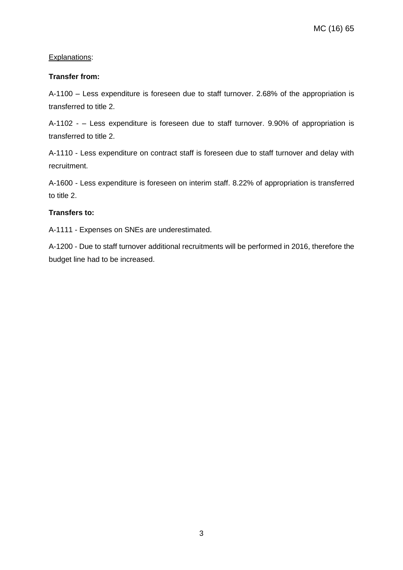#### Explanations:

#### **Transfer from:**

A-1100 – Less expenditure is foreseen due to staff turnover. 2.68% of the appropriation is transferred to title 2.

A-1102 - – Less expenditure is foreseen due to staff turnover. 9.90% of appropriation is transferred to title 2.

A-1110 - Less expenditure on contract staff is foreseen due to staff turnover and delay with recruitment.

A-1600 - Less expenditure is foreseen on interim staff. 8.22% of appropriation is transferred to title 2.

#### **Transfers to:**

A-1111 - Expenses on SNEs are underestimated.

A-1200 - Due to staff turnover additional recruitments will be performed in 2016, therefore the budget line had to be increased.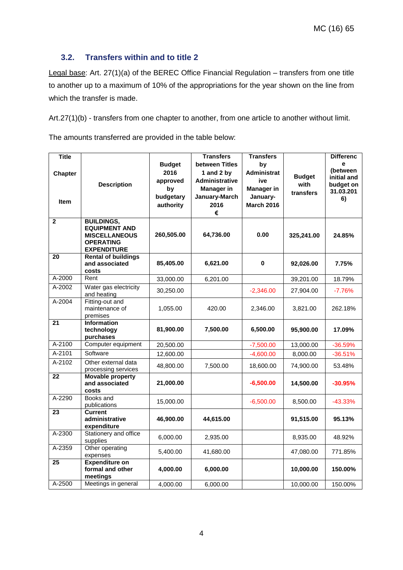#### **3.2. Transfers within and to title 2**

Legal base: Art. 27(1)(a) of the BEREC Office Financial Regulation – transfers from one title to another up to a maximum of 10% of the appropriations for the year shown on the line from which the transfer is made.

Art.27(1)(b) - transfers from one chapter to another, from one article to another without limit.

The amounts transferred are provided in the table below:

| <b>Title</b><br><b>Chapter</b><br><b>Item</b> | <b>Description</b>                                                                                          | <b>Budget</b><br>2016<br>approved<br>by<br>budgetary<br>authority | <b>Transfers</b><br>between Titles<br>1 and 2 by<br><b>Administrative</b><br><b>Manager in</b><br>January-March<br>2016<br>€ | <b>Transfers</b><br>by<br>Administrat<br>ive<br><b>Manager in</b><br>January-<br><b>March 2016</b> | <b>Budget</b><br>with<br>transfers | <b>Differenc</b><br>e<br>(between<br>initial and<br>budget on<br>31.03.201<br>6) |
|-----------------------------------------------|-------------------------------------------------------------------------------------------------------------|-------------------------------------------------------------------|------------------------------------------------------------------------------------------------------------------------------|----------------------------------------------------------------------------------------------------|------------------------------------|----------------------------------------------------------------------------------|
| $\mathbf{2}$                                  | <b>BUILDINGS,</b><br><b>EQUIPMENT AND</b><br><b>MISCELLANEOUS</b><br><b>OPERATING</b><br><b>EXPENDITURE</b> | 260,505.00                                                        | 64,736.00                                                                                                                    | 0.00                                                                                               | 325,241.00                         | 24.85%                                                                           |
| 20                                            | <b>Rental of buildings</b><br>and associated<br>costs                                                       | 85,405.00                                                         | 6,621.00                                                                                                                     | 0                                                                                                  | 92,026.00                          | 7.75%                                                                            |
| A-2000                                        | Rent                                                                                                        | 33,000.00                                                         | 6,201.00                                                                                                                     |                                                                                                    | 39,201.00                          | 18.79%                                                                           |
| A-2002                                        | Water gas electricity<br>and heating                                                                        | 30,250.00                                                         |                                                                                                                              | $-2,346.00$                                                                                        | 27,904.00                          | $-7.76%$                                                                         |
| $A-2004$                                      | Fitting-out and<br>maintenance of<br>premises                                                               | 1,055.00                                                          | 420.00                                                                                                                       | 2,346.00                                                                                           | 3,821.00                           | 262.18%                                                                          |
| 21                                            | <b>Information</b><br>technology<br>purchases                                                               | 81,900.00                                                         | 7,500.00                                                                                                                     | 6,500.00                                                                                           | 95,900.00                          | 17.09%                                                                           |
| A-2100                                        | Computer equipment                                                                                          | 20,500.00                                                         |                                                                                                                              | $-7,500.00$                                                                                        | 13,000.00                          | $-36.59%$                                                                        |
| $A-2101$                                      | Software                                                                                                    | 12,600.00                                                         |                                                                                                                              | $-4,600.00$                                                                                        | 8,000.00                           | $-36.51%$                                                                        |
| $A-2102$                                      | Other external data<br>processing services                                                                  | 48,800.00                                                         | 7,500.00                                                                                                                     | 18,600.00                                                                                          | 74,900.00                          | 53.48%                                                                           |
| 22                                            | <b>Movable property</b><br>and associated<br>costs                                                          | 21,000.00                                                         |                                                                                                                              | $-6,500.00$                                                                                        | 14,500.00                          | $-30.95%$                                                                        |
| A-2290                                        | Books and<br>publications                                                                                   | 15,000.00                                                         |                                                                                                                              | $-6,500.00$                                                                                        | 8,500.00                           | $-43.33%$                                                                        |
| $\overline{23}$                               | <b>Current</b><br>administrative<br>expenditure                                                             | 46,900.00                                                         | 44,615.00                                                                                                                    |                                                                                                    | 91,515.00                          | 95.13%                                                                           |
| A-2300                                        | Stationery and office<br>supplies                                                                           | 6,000.00                                                          | 2,935.00                                                                                                                     |                                                                                                    | 8,935.00                           | 48.92%                                                                           |
| A-2359                                        | Other operating<br>expenses                                                                                 | 5,400.00                                                          | 41,680.00                                                                                                                    |                                                                                                    | 47,080.00                          | 771.85%                                                                          |
| 25                                            | <b>Expenditure on</b><br>formal and other<br>meetings                                                       | 4,000.00                                                          | 6,000.00                                                                                                                     |                                                                                                    | 10,000.00                          | 150.00%                                                                          |
| A-2500                                        | Meetings in general                                                                                         | 4,000.00                                                          | 6,000.00                                                                                                                     |                                                                                                    | 10,000.00                          | 150.00%                                                                          |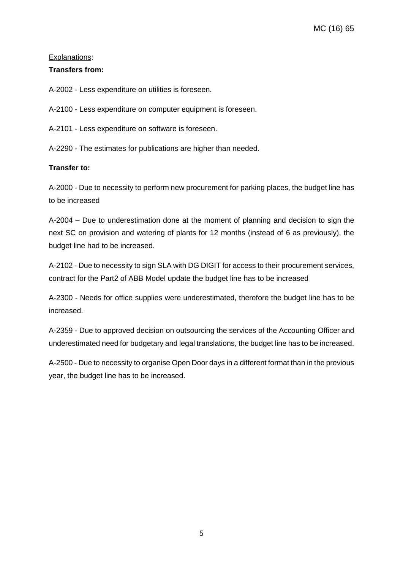#### Explanations:

#### **Transfers from:**

A-2002 - Less expenditure on utilities is foreseen.

A-2100 - Less expenditure on computer equipment is foreseen.

A-2101 - Less expenditure on software is foreseen.

A-2290 - The estimates for publications are higher than needed.

#### **Transfer to:**

A-2000 - Due to necessity to perform new procurement for parking places, the budget line has to be increased

A-2004 – Due to underestimation done at the moment of planning and decision to sign the next SC on provision and watering of plants for 12 months (instead of 6 as previously), the budget line had to be increased.

A-2102 - Due to necessity to sign SLA with DG DIGIT for access to their procurement services, contract for the Part2 of ABB Model update the budget line has to be increased

A-2300 - Needs for office supplies were underestimated, therefore the budget line has to be increased.

A-2359 - Due to approved decision on outsourcing the services of the Accounting Officer and underestimated need for budgetary and legal translations, the budget line has to be increased.

A-2500 - Due to necessity to organise Open Door days in a different format than in the previous year, the budget line has to be increased.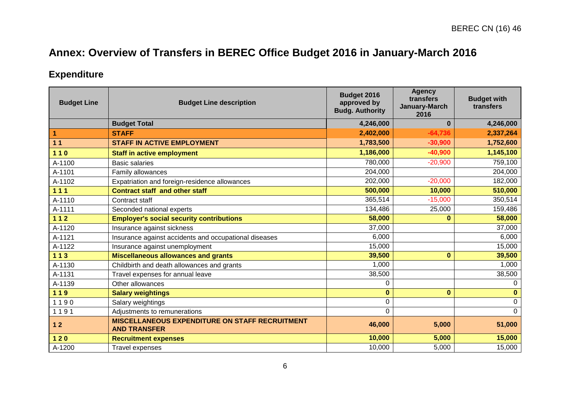# **Annex: Overview of Transfers in BEREC Office Budget 2016 in January-March 2016**

## **Expenditure**

| <b>Budget Line</b> | <b>Budget Line description</b>                                               | Budget 2016<br>approved by<br><b>Budg. Authority</b> | <b>Agency</b><br>transfers<br>January-March<br>2016 | <b>Budget with</b><br>transfers |
|--------------------|------------------------------------------------------------------------------|------------------------------------------------------|-----------------------------------------------------|---------------------------------|
|                    | <b>Budget Total</b>                                                          | 4,246,000                                            | $\bf{0}$                                            | 4,246,000                       |
| 1                  | <b>STAFF</b>                                                                 | 2,402,000                                            | $-64,736$                                           | 2,337,264                       |
| 11                 | <b>STAFF IN ACTIVE EMPLOYMENT</b>                                            | 1,783,500                                            | $-30,900$                                           | 1,752,600                       |
| $110$              | <b>Staff in active employment</b>                                            | 1,186,000                                            | $-40,900$                                           | 1,145,100                       |
| A-1100             | <b>Basic salaries</b>                                                        | 780,000                                              | $-20,900$                                           | 759,100                         |
| A-1101             | Family allowances                                                            | 204,000                                              |                                                     | 204,000                         |
| A-1102             | Expatriation and foreign-residence allowances                                | 202,000                                              | $-20,000$                                           | 182,000                         |
| 111                | <b>Contract staff and other staff</b>                                        | 500,000                                              | 10,000                                              | 510,000                         |
| A-1110             | Contract staff                                                               | 365,514                                              | $-15,000$                                           | 350,514                         |
| A-1111             | Seconded national experts                                                    | 134,486                                              | 25,000                                              | 159,486                         |
| $112$              | <b>Employer's social security contributions</b>                              | 58,000                                               | $\bf{0}$                                            | 58,000                          |
| A-1120             | Insurance against sickness                                                   | 37,000                                               |                                                     | 37,000                          |
| A-1121             | Insurance against accidents and occupational diseases                        | 6,000                                                |                                                     | 6,000                           |
| A-1122             | Insurance against unemployment                                               | 15,000                                               |                                                     | 15,000                          |
| $113$              | <b>Miscellaneous allowances and grants</b>                                   | 39,500                                               | $\bf{0}$                                            | 39,500                          |
| A-1130             | Childbirth and death allowances and grants                                   | 1,000                                                |                                                     | 1,000                           |
| A-1131             | Travel expenses for annual leave                                             | 38,500                                               |                                                     | 38,500                          |
| A-1139             | Other allowances                                                             | 0                                                    |                                                     | $\Omega$                        |
| 119                | <b>Salary weightings</b>                                                     | $\mathbf 0$                                          | $\bf{0}$                                            | $\mathbf{0}$                    |
| 1190               | Salary weightings                                                            | 0                                                    |                                                     | $\mathbf 0$                     |
| 1191               | Adjustments to remunerations                                                 | 0                                                    |                                                     | $\mathbf 0$                     |
| 12                 | <b>MISCELLANEOUS EXPENDITURE ON STAFF RECRUITMENT</b><br><b>AND TRANSFER</b> | 46,000                                               | 5,000                                               | 51,000                          |
| $120$              | <b>Recruitment expenses</b>                                                  | 10,000                                               | 5,000                                               | 15,000                          |
| A-1200             | Travel expenses                                                              | 10,000                                               | 5,000                                               | 15,000                          |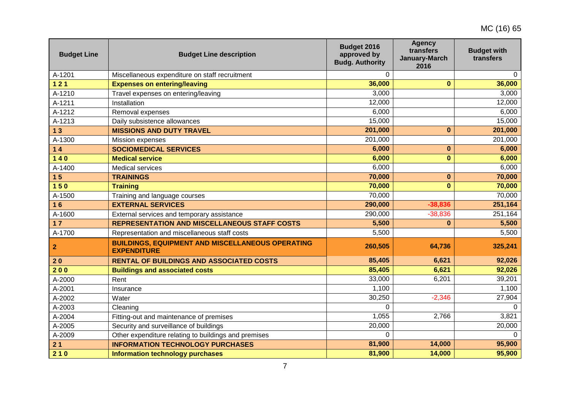| <b>Budget Line</b> | <b>Budget Line description</b>                                                | Budget 2016<br>approved by<br><b>Budg. Authority</b> | <b>Agency</b><br>transfers<br>January-March<br>2016 | <b>Budget with</b><br>transfers |
|--------------------|-------------------------------------------------------------------------------|------------------------------------------------------|-----------------------------------------------------|---------------------------------|
| A-1201             | Miscellaneous expenditure on staff recruitment                                | $\Omega$                                             |                                                     | $\Omega$                        |
| $121$              | <b>Expenses on entering/leaving</b>                                           | 36,000                                               | $\mathbf{0}$                                        | 36,000                          |
| A-1210             | Travel expenses on entering/leaving                                           | 3,000                                                |                                                     | 3,000                           |
| A-1211             | Installation                                                                  | 12,000                                               |                                                     | 12,000                          |
| A-1212             | Removal expenses                                                              | 6,000                                                |                                                     | 6,000                           |
| A-1213             | Daily subsistence allowances                                                  | 15,000                                               |                                                     | 15,000                          |
| 13                 | <b>MISSIONS AND DUTY TRAVEL</b>                                               | 201,000                                              | $\mathbf{0}$                                        | 201,000                         |
| A-1300             | Mission expenses                                                              | 201,000                                              |                                                     | 201,000                         |
| $14$               | <b>SOCIOMEDICAL SERVICES</b>                                                  | 6,000                                                | $\mathbf 0$                                         | 6,000                           |
| $140$              | <b>Medical service</b>                                                        | 6,000                                                | $\mathbf{0}$                                        | 6,000                           |
| A-1400             | <b>Medical services</b>                                                       | 6,000                                                |                                                     | 6,000                           |
| 15                 | <b>TRAININGS</b>                                                              | 70,000                                               | $\bf{0}$                                            | 70,000                          |
| $150$              | <b>Training</b>                                                               | 70,000                                               | $\mathbf{0}$                                        | 70,000                          |
| A-1500             | Training and language courses                                                 | 70,000                                               |                                                     | 70,000                          |
| 16                 | <b>EXTERNAL SERVICES</b>                                                      | 290,000                                              | $-38,836$                                           | 251,164                         |
| A-1600             | External services and temporary assistance                                    | 290,000                                              | $-38,836$                                           | $\overline{251,164}$            |
| $17$               | <b>REPRESENTATION AND MISCELLANEOUS STAFF COSTS</b>                           | 5,500                                                | $\mathbf 0$                                         | 5,500                           |
| A-1700             | Representation and miscellaneous staff costs                                  | 5,500                                                |                                                     | 5,500                           |
| $\mathbf{2}$       | <b>BUILDINGS, EQUIPMENT AND MISCELLANEOUS OPERATING</b><br><b>EXPENDITURE</b> | 260,505                                              | 64,736                                              | 325,241                         |
| 20                 | <b>RENTAL OF BUILDINGS AND ASSOCIATED COSTS</b>                               | 85,405                                               | 6,621                                               | 92,026                          |
| 200                | <b>Buildings and associated costs</b>                                         | 85,405                                               | 6,621                                               | 92,026                          |
| A-2000             | Rent                                                                          | 33,000                                               | 6,201                                               | 39,201                          |
| A-2001             | Insurance                                                                     | 1,100                                                |                                                     | 1,100                           |
| A-2002             | Water                                                                         | 30,250                                               | $-2,346$                                            | 27,904                          |
| A-2003             | Cleaning                                                                      | $\Omega$                                             |                                                     | $\Omega$                        |
| A-2004             | Fitting-out and maintenance of premises                                       | 1,055                                                | 2,766                                               | 3,821                           |
| A-2005             | Security and surveillance of buildings                                        | 20,000                                               |                                                     | 20,000                          |
| A-2009             | Other expenditure relating to buildings and premises                          | $\Omega$                                             |                                                     | $\Omega$                        |
| 21                 | <b>INFORMATION TECHNOLOGY PURCHASES</b>                                       | 81,900                                               | 14,000                                              | 95,900                          |
| 210                | <b>Information technology purchases</b>                                       | 81,900                                               | 14,000                                              | 95,900                          |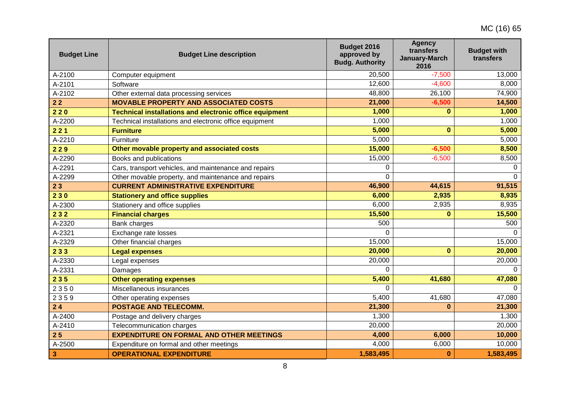| <b>Budget Line</b>      | <b>Budget Line description</b>                                 | Budget 2016<br>approved by<br><b>Budg. Authority</b> | <b>Agency</b><br>transfers<br>January-March<br>2016 | <b>Budget with</b><br>transfers |
|-------------------------|----------------------------------------------------------------|------------------------------------------------------|-----------------------------------------------------|---------------------------------|
| A-2100                  | Computer equipment                                             | 20,500                                               | $-7,500$                                            | 13,000                          |
| A-2101                  | Software                                                       | 12,600                                               | $-4,600$                                            | 8,000                           |
| A-2102                  | Other external data processing services                        | 48,800                                               | 26,100                                              | 74,900                          |
| $22$                    | <b>MOVABLE PROPERTY AND ASSOCIATED COSTS</b>                   | 21,000                                               | $-6,500$                                            | 14,500                          |
| 220                     | <b>Technical installations and electronic office equipment</b> | 1,000                                                | $\mathbf{0}$                                        | 1,000                           |
| A-2200                  | Technical installations and electronic office equipment        | 1,000                                                |                                                     | 1,000                           |
| 221                     | <b>Furniture</b>                                               | 5,000                                                | $\mathbf{0}$                                        | 5,000                           |
| A-2210                  | Furniture                                                      | 5,000                                                |                                                     | 5,000                           |
| 229                     | Other movable property and associated costs                    | 15,000                                               | $-6,500$                                            | 8,500                           |
| A-2290                  | Books and publications                                         | 15,000                                               | $-6,500$                                            | 8,500                           |
| A-2291                  | Cars, transport vehicles, and maintenance and repairs          | 0                                                    |                                                     | $\overline{0}$                  |
| A-2299                  | Other movable property, and maintenance and repairs            | 0                                                    |                                                     | $\Omega$                        |
| 23                      | <b>CURRENT ADMINISTRATIVE EXPENDITURE</b>                      | 46,900                                               | 44,615                                              | 91,515                          |
| 230                     | <b>Stationery and office supplies</b>                          | 6,000                                                | 2,935                                               | 8,935                           |
| A-2300                  | Stationery and office supplies                                 | 6,000                                                | 2,935                                               | 8,935                           |
| 232                     | <b>Financial charges</b>                                       | 15,500                                               | $\bf{0}$                                            | 15,500                          |
| A-2320                  | Bank charges                                                   | 500                                                  |                                                     | 500                             |
| A-2321                  | Exchange rate losses                                           | $\Omega$                                             |                                                     | $\Omega$                        |
| A-2329                  | Other financial charges                                        | 15,000                                               |                                                     | 15,000                          |
| 233                     | <b>Legal expenses</b>                                          | 20,000                                               | $\bf{0}$                                            | 20,000                          |
| A-2330                  | Legal expenses                                                 | 20,000                                               |                                                     | 20,000                          |
| A-2331                  | Damages                                                        | 0                                                    |                                                     | $\Omega$                        |
| 235                     | <b>Other operating expenses</b>                                | 5,400                                                | 41,680                                              | 47,080                          |
| 2350                    | Miscellaneous insurances                                       | $\Omega$                                             |                                                     | $\Omega$                        |
| 2359                    | Other operating expenses                                       | 5,400                                                | 41,680                                              | 47,080                          |
| 24                      | <b>POSTAGE AND TELECOMM.</b>                                   | 21,300                                               | $\bf{0}$                                            | 21,300                          |
| A-2400                  | Postage and delivery charges                                   | 1,300                                                |                                                     | 1,300                           |
| A-2410                  | Telecommunication charges                                      | 20,000                                               |                                                     | 20,000                          |
| 25                      | <b>EXPENDITURE ON FORMAL AND OTHER MEETINGS</b>                | 4,000                                                | 6,000                                               | 10,000                          |
| A-2500                  | Expenditure on formal and other meetings                       | 4,000                                                | 6,000                                               | 10,000                          |
| $\overline{\mathbf{3}}$ | <b>OPERATIONAL EXPENDITURE</b>                                 | 1,583,495                                            | $\bf{0}$                                            | 1,583,495                       |